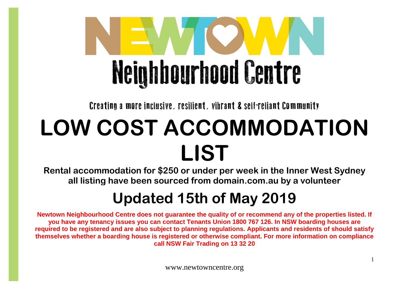

Creating a more inclusive, resilient, vibrant & self-reliant Community

## **LOW COST ACCOMMODATION LIST**

**Rental accommodation for \$250 or under per week in the Inner West Sydney all listing have been sourced from domain.com.au by a volunteer**

## **Updated 15th of May 2019**

**Newtown Neighbourhood Centre does not guarantee the quality of or recommend any of the properties listed. If you have any tenancy issues you can contact Tenants Union 1800 767 126. In NSW boarding houses are required to be registered and are also subject to planning regulations. Applicants and residents of should satisfy themselves whether a boarding house is registered or otherwise compliant. For more information on compliance call NSW Fair Trading on 13 32 20**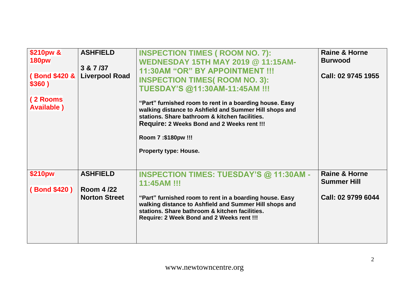| \$210pw &<br><b>180pw</b><br>(Bond \$420 &<br>\$360)<br>(2 Rooms<br><b>Available</b> ) | <b>ASHFIELD</b><br>3 & 7 /37<br><b>Liverpool Road</b>       | <b>INSPECTION TIMES ( ROOM NO. 7):</b><br><b>WEDNESDAY 15TH MAY 2019 @ 11:15AM-</b><br>11:30AM "OR" BY APPOINTMENT !!!<br><b>INSPECTION TIMES( ROOM NO. 3):</b><br>TUESDAY'S @11:30AM-11:45AM !!!<br>"Part" furnished room to rent in a boarding house. Easy<br>walking distance to Ashfield and Summer Hill shops and<br>stations. Share bathroom & kitchen facilities.<br><b>Require: 2 Weeks Bond and 2 Weeks rent !!!</b><br>Room 7:\$180pw !!!<br>Property type: House. | <b>Raine &amp; Horne</b><br><b>Burwood</b><br>Call: 02 9745 1955     |
|----------------------------------------------------------------------------------------|-------------------------------------------------------------|------------------------------------------------------------------------------------------------------------------------------------------------------------------------------------------------------------------------------------------------------------------------------------------------------------------------------------------------------------------------------------------------------------------------------------------------------------------------------|----------------------------------------------------------------------|
| \$210pw<br>(Bond \$420)                                                                | <b>ASHFIELD</b><br><b>Room 4/22</b><br><b>Norton Street</b> | <b>INSPECTION TIMES: TUESDAY'S @ 11:30AM -</b><br>11:45AM !!!<br>"Part" furnished room to rent in a boarding house. Easy<br>walking distance to Ashfield and Summer Hill shops and<br>stations. Share bathroom & kitchen facilities.<br>Require: 2 Week Bond and 2 Weeks rent !!!                                                                                                                                                                                            | <b>Raine &amp; Horne</b><br><b>Summer Hill</b><br>Call: 02 9799 6044 |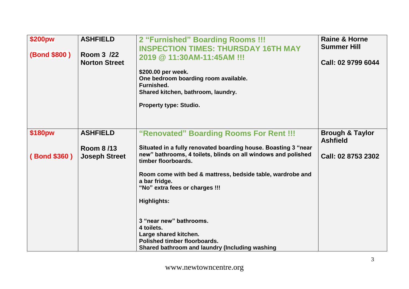| \$200pw<br>(Bond \$800) | <b>ASHFIELD</b><br>Room 3 /22<br><b>Norton Street</b> | 2 "Furnished" Boarding Rooms !!!<br><b>INSPECTION TIMES: THURSDAY 16TH MAY</b><br>2019 @ 11:30AM-11:45AM !!!<br>\$200.00 per week.<br>One bedroom boarding room available.<br>Furnished.<br>Shared kitchen, bathroom, laundry.<br><b>Property type: Studio.</b>         | <b>Raine &amp; Horne</b><br><b>Summer Hill</b><br>Call: 02 9799 6044 |
|-------------------------|-------------------------------------------------------|-------------------------------------------------------------------------------------------------------------------------------------------------------------------------------------------------------------------------------------------------------------------------|----------------------------------------------------------------------|
| \$180pw                 | <b>ASHFIELD</b>                                       | "Renovated" Boarding Rooms For Rent !!!                                                                                                                                                                                                                                 | <b>Brough &amp; Taylor</b><br><b>Ashfield</b>                        |
| (Bond \$360)            | <b>Room 8/13</b><br><b>Joseph Street</b>              | Situated in a fully renovated boarding house. Boasting 3 "near<br>new" bathrooms, 4 toilets, blinds on all windows and polished<br>timber floorboards.<br>Room come with bed & mattress, bedside table, wardrobe and<br>a bar fridge.<br>"No" extra fees or charges !!! | Call: 02 8753 2302                                                   |
|                         |                                                       | <b>Highlights:</b>                                                                                                                                                                                                                                                      |                                                                      |
|                         |                                                       | 3 "near new" bathrooms.<br>4 toilets.<br>Large shared kitchen.<br>Polished timber floorboards.<br>Shared bathroom and laundry (Including washing                                                                                                                        |                                                                      |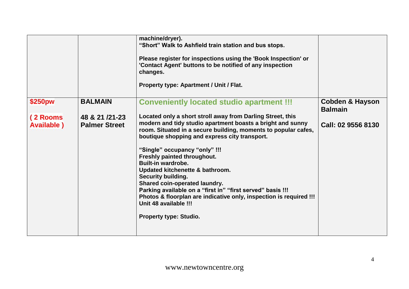|                                |                                           | machine/dryer).<br>"Short" Walk to Ashfield train station and bus stops.<br>Please register for inspections using the 'Book Inspection' or<br>'Contact Agent' buttons to be notified of any inspection<br>changes.<br>Property type: Apartment / Unit / Flat.                                                                                                                                                                                                                                                                                                                                                                    |                                              |
|--------------------------------|-------------------------------------------|----------------------------------------------------------------------------------------------------------------------------------------------------------------------------------------------------------------------------------------------------------------------------------------------------------------------------------------------------------------------------------------------------------------------------------------------------------------------------------------------------------------------------------------------------------------------------------------------------------------------------------|----------------------------------------------|
| \$250pw                        | <b>BALMAIN</b>                            | <b>Conveniently located studio apartment !!!</b>                                                                                                                                                                                                                                                                                                                                                                                                                                                                                                                                                                                 | <b>Cobden &amp; Hayson</b><br><b>Balmain</b> |
| (2 Rooms<br><b>Available</b> ) | 48 & 21 / 21 - 23<br><b>Palmer Street</b> | Located only a short stroll away from Darling Street, this<br>modern and tidy studio apartment boasts a bright and sunny<br>room. Situated in a secure building, moments to popular cafes,<br>boutique shopping and express city transport.<br>"Single" occupancy "only" !!!<br>Freshly painted throughout.<br>Built-in wardrobe.<br>Updated kitchenette & bathroom.<br><b>Security building.</b><br>Shared coin-operated laundry.<br>Parking available on a "first in" "first served" basis !!!<br>Photos & floorplan are indicative only, inspection is required !!!<br>Unit 48 available !!!<br><b>Property type: Studio.</b> | Call: 02 9556 8130                           |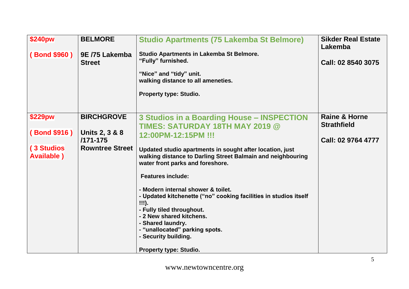| <b>\$240pw</b>                   | <b>BELMORE</b>                            | <b>Studio Apartments (75 Lakemba St Belmore)</b>                                                                                                                                                                                                        | <b>Sikder Real Estate</b><br>Lakemba           |
|----------------------------------|-------------------------------------------|---------------------------------------------------------------------------------------------------------------------------------------------------------------------------------------------------------------------------------------------------------|------------------------------------------------|
| (Bond \$960)                     | 9E /75 Lakemba<br><b>Street</b>           | <b>Studio Apartments in Lakemba St Belmore.</b><br>"Fully" furnished.<br>"Nice" and "tidy" unit.<br>walking distance to all ameneties.<br><b>Property type: Studio.</b>                                                                                 | Call: 02 8540 3075                             |
| \$229pw                          | <b>BIRCHGROVE</b>                         | 3 Studios in a Boarding House - INSPECTION<br><b>TIMES: SATURDAY 18TH MAY 2019 @</b>                                                                                                                                                                    | <b>Raine &amp; Horne</b><br><b>Strathfield</b> |
| (Bond \$916)                     | <b>Units 2, 3 &amp; 8</b><br>$/171 - 175$ | 12:00PM-12:15PM !!!                                                                                                                                                                                                                                     | Call: 02 9764 4777                             |
| (3 Studios<br><b>Available</b> ) | <b>Rowntree Street</b>                    | Updated studio apartments in sought after location, just<br>walking distance to Darling Street Balmain and neighbouring<br>water front parks and foreshore.                                                                                             |                                                |
|                                  |                                           | <b>Features include:</b>                                                                                                                                                                                                                                |                                                |
|                                  |                                           | - Modern internal shower & toilet.<br>- Updated kitchenette ("no" cooking facilities in studios itself<br>!!!).<br>- Fully tiled throughout.<br>- 2 New shared kitchens.<br>- Shared laundry.<br>- "unallocated" parking spots.<br>- Security building. |                                                |
|                                  |                                           | <b>Property type: Studio.</b>                                                                                                                                                                                                                           |                                                |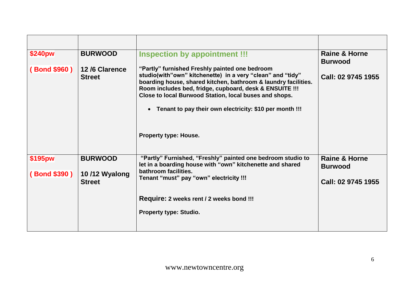| <b>BURWOOD</b>                 | <b>Inspection by appointment !!!</b>                                                                                                                                                                                                                                                                                                                                        | <b>Raine &amp; Horne</b><br><b>Burwood</b>           |
|--------------------------------|-----------------------------------------------------------------------------------------------------------------------------------------------------------------------------------------------------------------------------------------------------------------------------------------------------------------------------------------------------------------------------|------------------------------------------------------|
| 12/6 Clarence<br><b>Street</b> | "Partly" furnished Freshly painted one bedroom<br>studio(with"own" kitchenette) in a very "clean" and "tidy"<br>boarding house, shared kitchen, bathroom & laundry facilities.<br>Room includes bed, fridge, cupboard, desk & ENSUITE !!!<br>Close to local Burwood Station, local buses and shops.<br>Tenant to pay their own electricity: \$10 per month !!!<br>$\bullet$ | Call: 02 9745 1955                                   |
|                                |                                                                                                                                                                                                                                                                                                                                                                             |                                                      |
| <b>BURWOOD</b>                 | "Partly" Furnished, "Freshly" painted one bedroom studio to<br>let in a boarding house with "own" kitchenette and shared                                                                                                                                                                                                                                                    | <b>Raine &amp; Horne</b><br><b>Burwood</b>           |
| <b>Street</b>                  | Tenant "must" pay "own" electricity !!!                                                                                                                                                                                                                                                                                                                                     | Call: 02 9745 1955                                   |
|                                | Require: 2 weeks rent / 2 weeks bond !!!                                                                                                                                                                                                                                                                                                                                    |                                                      |
|                                | <b>Property type: Studio.</b>                                                                                                                                                                                                                                                                                                                                               |                                                      |
|                                | 10/12 Wyalong                                                                                                                                                                                                                                                                                                                                                               | <b>Property type: House.</b><br>bathroom facilities. |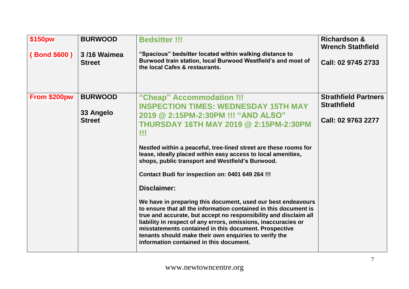| \$150pw      | <b>BURWOOD</b>                               | <b>Bedsitter !!!</b>                                                                                                                                                                                                                                                                                                                                                                                                                               | <b>Richardson &amp;</b><br><b>Wrench Stathfield</b>                     |
|--------------|----------------------------------------------|----------------------------------------------------------------------------------------------------------------------------------------------------------------------------------------------------------------------------------------------------------------------------------------------------------------------------------------------------------------------------------------------------------------------------------------------------|-------------------------------------------------------------------------|
| (Bond \$600) | 3/16 Waimea<br><b>Street</b>                 | "Spacious" bedsitter located within walking distance to<br>Burwood train station, local Burwood Westfield's and most of<br>the local Cafes & restaurants.                                                                                                                                                                                                                                                                                          | Call: 02 9745 2733                                                      |
| From \$200pw | <b>BURWOOD</b><br>33 Angelo<br><b>Street</b> | "Cheap" Accommodation !!!<br><b>INSPECTION TIMES: WEDNESDAY 15TH MAY</b><br>2019 @ 2:15PM-2:30PM !!! "AND ALSO"<br><b>THURSDAY 16TH MAY 2019 @ 2:15PM-2:30PM</b><br>w                                                                                                                                                                                                                                                                              | <b>Strathfield Partners</b><br><b>Strathfield</b><br>Call: 02 9763 2277 |
|              |                                              | Nestled within a peaceful, tree-lined street are these rooms for<br>lease, ideally placed within easy access to local amenities,<br>shops, public transport and Westfield's Burwood.<br>Contact Budi for inspection on: 0401 649 264 !!!                                                                                                                                                                                                           |                                                                         |
|              |                                              | Disclaimer:<br>We have in preparing this document, used our best endeavours<br>to ensure that all the information contained in this document is<br>true and accurate, but accept no responsibility and disclaim all<br>liability in respect of any errors, omissions, inaccuracies or<br>misstatements contained in this document. Prospective<br>tenants should make their own enquiries to verify the<br>information contained in this document. |                                                                         |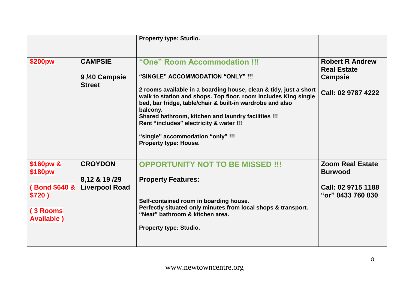|                                                                                   |                                                          | <b>Property type: Studio.</b>                                                                                                                                                                                                                                                                                                                                                                                                                             |                                                                                      |
|-----------------------------------------------------------------------------------|----------------------------------------------------------|-----------------------------------------------------------------------------------------------------------------------------------------------------------------------------------------------------------------------------------------------------------------------------------------------------------------------------------------------------------------------------------------------------------------------------------------------------------|--------------------------------------------------------------------------------------|
| \$200pw                                                                           | <b>CAMPSIE</b><br>9/40 Campsie<br><b>Street</b>          | "One" Room Accommodation !!!<br>"SINGLE" ACCOMMODATION "ONLY" !!!<br>2 rooms available in a boarding house, clean & tidy, just a short<br>walk to station and shops. Top floor, room includes King single<br>bed, bar fridge, table/chair & built-in wardrobe and also<br>balcony.<br>Shared bathroom, kitchen and laundry facilities !!!<br>Rent "includes" electricity & water !!!<br>"single" accommodation "only" !!!<br><b>Property type: House.</b> | <b>Robert R Andrew</b><br><b>Real Estate</b><br><b>Campsie</b><br>Call: 02 9787 4222 |
| \$160pw &<br>\$180pw<br>(Bond \$640 &<br>\$720)<br>(3 Rooms<br><b>Available</b> ) | <b>CROYDON</b><br>8,12 & 19 /29<br><b>Liverpool Road</b> | <b>OPPORTUNITY NOT TO BE MISSED !!!</b><br><b>Property Features:</b><br>Self-contained room in boarding house.<br>Perfectly situated only minutes from local shops & transport.<br>"Neat" bathroom & kitchen area.<br><b>Property type: Studio.</b>                                                                                                                                                                                                       | <b>Zoom Real Estate</b><br><b>Burwood</b><br>Call: 02 9715 1188<br>"or" 0433 760 030 |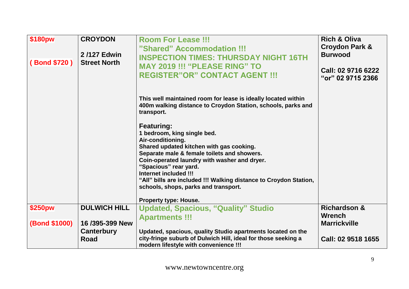| \$180pw              | <b>CROYDON</b>                     | <b>Room For Lease !!!</b><br>"Shared" Accommodation !!!                                                                                                                                                                                                                                                                                                                                                         | <b>Rich &amp; Oliva</b><br>Croydon Park & |
|----------------------|------------------------------------|-----------------------------------------------------------------------------------------------------------------------------------------------------------------------------------------------------------------------------------------------------------------------------------------------------------------------------------------------------------------------------------------------------------------|-------------------------------------------|
| (Bond \$720)         | 2/127 Edwin<br><b>Street North</b> | <b>INSPECTION TIMES: THURSDAY NIGHT 16TH</b>                                                                                                                                                                                                                                                                                                                                                                    | <b>Burwood</b>                            |
|                      |                                    | <b>MAY 2019 !!! "PLEASE RING" TO</b><br><b>REGISTER"OR" CONTACT AGENT !!!</b>                                                                                                                                                                                                                                                                                                                                   | Call: 02 9716 6222<br>"or" 02 9715 2366   |
|                      |                                    | This well maintained room for lease is ideally located within<br>400m walking distance to Croydon Station, schools, parks and<br>transport.                                                                                                                                                                                                                                                                     |                                           |
|                      |                                    | <b>Featuring:</b><br>1 bedroom, king single bed.<br>Air-conditioning.<br>Shared updated kitchen with gas cooking.<br>Separate male & female toilets and showers.<br>Coin-operated laundry with washer and dryer.<br>"Spacious" rear yard.<br>Internet included !!!<br>"All" bills are included !!! Walking distance to Croydon Station,<br>schools, shops, parks and transport.<br><b>Property type: House.</b> |                                           |
| \$250pw              | <b>DULWICH HILL</b>                | <b>Updated, Spacious, "Quality" Studio</b>                                                                                                                                                                                                                                                                                                                                                                      | <b>Richardson &amp;</b>                   |
| <b>(Bond \$1000)</b> | 16/395-399 New                     | <b>Apartments !!!</b>                                                                                                                                                                                                                                                                                                                                                                                           | <b>Wrench</b><br><b>Marrickville</b>      |
|                      | Canterbury                         | Updated, spacious, quality Studio apartments located on the                                                                                                                                                                                                                                                                                                                                                     |                                           |
|                      | <b>Road</b>                        | city-fringe suburb of Dulwich Hill, ideal for those seeking a<br>modern lifestyle with convenience !!!                                                                                                                                                                                                                                                                                                          | Call: 02 9518 1655                        |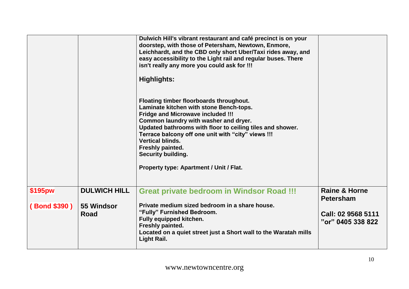|                         |                                   | Dulwich Hill's vibrant restaurant and café precinct is on your<br>doorstep, with those of Petersham, Newtown, Enmore,<br>Leichhardt, and the CBD only short Uber/Taxi rides away, and<br>easy accessibility to the Light rail and regular buses. There<br>isn't really any more you could ask for !!!<br><b>Highlights:</b>                                                                                       |                                              |
|-------------------------|-----------------------------------|-------------------------------------------------------------------------------------------------------------------------------------------------------------------------------------------------------------------------------------------------------------------------------------------------------------------------------------------------------------------------------------------------------------------|----------------------------------------------|
|                         |                                   | Floating timber floorboards throughout.<br>Laminate kitchen with stone Bench-tops.<br><b>Fridge and Microwave included !!!</b><br>Common laundry with washer and dryer.<br>Updated bathrooms with floor to ceiling tiles and shower.<br>Terrace balcony off one unit with "city" views !!!<br><b>Vertical blinds.</b><br>Freshly painted.<br><b>Security building.</b><br>Property type: Apartment / Unit / Flat. |                                              |
| \$195pw<br>(Bond \$390) | <b>DULWICH HILL</b><br>55 Windsor | <b>Great private bedroom in Windsor Road !!!</b><br>Private medium sized bedroom in a share house.                                                                                                                                                                                                                                                                                                                | <b>Raine &amp; Horne</b><br><b>Petersham</b> |
|                         | <b>Road</b>                       | "Fully" Furnished Bedroom.<br><b>Fully equipped kitchen.</b><br>Freshly painted.<br>Located on a quiet street just a Short wall to the Waratah mills<br><b>Light Rail.</b>                                                                                                                                                                                                                                        | Call: 02 9568 5111<br>"or" 0405 338 822      |
|                         |                                   |                                                                                                                                                                                                                                                                                                                                                                                                                   |                                              |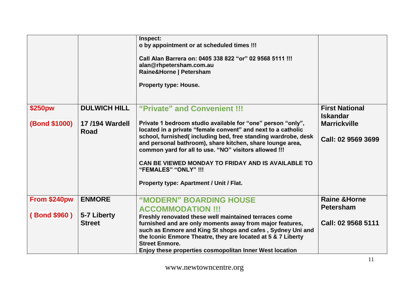|                                 |                                                      | Inspect:<br>o by appointment or at scheduled times !!!<br>Call Alan Barrera on: 0405 338 822 "or" 02 9568 5111 !!!<br>alan@rhpetersham.com.au<br>Raine&Horne   Petersham<br><b>Property type: House.</b>                                                                                                                                                                                                                                                                    |                                                                                       |
|---------------------------------|------------------------------------------------------|-----------------------------------------------------------------------------------------------------------------------------------------------------------------------------------------------------------------------------------------------------------------------------------------------------------------------------------------------------------------------------------------------------------------------------------------------------------------------------|---------------------------------------------------------------------------------------|
| \$250pw<br><b>(Bond \$1000)</b> | <b>DULWICH HILL</b><br><b>17/194 Wardell</b><br>Road | "Private" and Convenient !!!<br>Private 1 bedroom studio available for "one" person "only",<br>located in a private "female convent" and next to a catholic<br>school, furnished(including bed, free standing wardrobe, desk<br>and personal bathroom), share kitchen, share lounge area,<br>common yard for all to use. "NO" visitors allowed !!!<br>CAN BE VIEWED MONDAY TO FRIDAY AND IS AVAILABLE TO<br>"FEMALES" "ONLY" !!!<br>Property type: Apartment / Unit / Flat. | <b>First National</b><br><b>Iskandar</b><br><b>Marrickville</b><br>Call: 02 9569 3699 |
| From \$240pw                    | <b>ENMORE</b>                                        | "MODERN" BOARDING HOUSE                                                                                                                                                                                                                                                                                                                                                                                                                                                     | <b>Raine &amp; Horne</b><br><b>Petersham</b>                                          |
| (Bond \$960)                    | 5-7 Liberty<br><b>Street</b>                         | <b>ACCOMMODATION !!!</b><br>Freshly renovated these well maintained terraces come<br>furnished and are only moments away from major features,<br>such as Enmore and King St shops and cafes, Sydney Uni and<br>the Iconic Enmore Theatre, they are located at 5 & 7 Liberty<br><b>Street Enmore.</b><br>Enjoy these properties cosmopolitan Inner West location                                                                                                             | Call: 02 9568 5111                                                                    |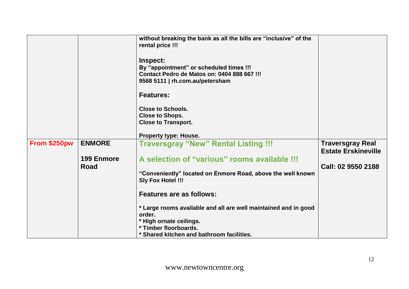|              |                   | without breaking the bank as all the bills are "inclusive" of the<br>rental price !!!<br>Inspect:<br>By "appointment" or scheduled times !!!<br>Contact Pedro de Matos on: 0404 888 667 !!!<br>9568 5111   rh.com.au/petersham<br><b>Features:</b><br><b>Close to Schools.</b><br><b>Close to Shops.</b><br><b>Close to Transport.</b><br><b>Property type: House.</b> |                                                       |
|--------------|-------------------|------------------------------------------------------------------------------------------------------------------------------------------------------------------------------------------------------------------------------------------------------------------------------------------------------------------------------------------------------------------------|-------------------------------------------------------|
| From \$250pw | <b>ENMORE</b>     | <b>Traversgray "New" Rental Listing !!!</b>                                                                                                                                                                                                                                                                                                                            | <b>Traversgray Real</b><br><b>Estate Erskineville</b> |
|              | <b>199 Enmore</b> | A selection of "various" rooms available !!!                                                                                                                                                                                                                                                                                                                           |                                                       |
|              | Road              | "Conveniently" located on Enmore Road, above the well known                                                                                                                                                                                                                                                                                                            | Call: 02 9550 2188                                    |
|              |                   | <b>Sly Fox Hotel !!!</b>                                                                                                                                                                                                                                                                                                                                               |                                                       |
|              |                   | <b>Features are as follows:</b>                                                                                                                                                                                                                                                                                                                                        |                                                       |
|              |                   | * Large rooms available and all are well maintained and in good<br>order.                                                                                                                                                                                                                                                                                              |                                                       |
|              |                   | * High ornate ceilings.                                                                                                                                                                                                                                                                                                                                                |                                                       |
|              |                   | * Timber floorboards.<br>* Shared kitchen and bathroom facilities.                                                                                                                                                                                                                                                                                                     |                                                       |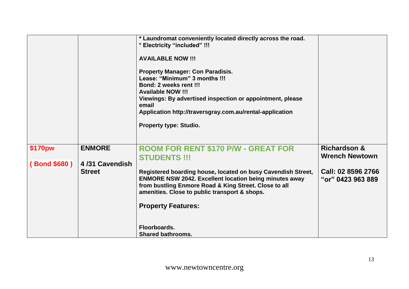|              |                | * Laundromat conveniently located directly across the road.<br>* Electricity "included" !!!<br><b>AVAILABLE NOW !!!</b><br><b>Property Manager: Con Paradisis.</b><br>Lease: "Minimum" 3 months !!!<br>Bond: 2 weeks rent !!!<br><b>Available NOW !!!</b><br>Viewings: By advertised inspection or appointment, please<br>email<br>Application http://traversgray.com.au/rental-application<br><b>Property type: Studio.</b> |                                                  |
|--------------|----------------|------------------------------------------------------------------------------------------------------------------------------------------------------------------------------------------------------------------------------------------------------------------------------------------------------------------------------------------------------------------------------------------------------------------------------|--------------------------------------------------|
| \$170pw      | <b>ENMORE</b>  | <b>ROOM FOR RENT \$170 P/W - GREAT FOR</b><br><b>STUDENTS !!!</b>                                                                                                                                                                                                                                                                                                                                                            | <b>Richardson &amp;</b><br><b>Wrench Newtown</b> |
| (Bond \$680) | 4/31 Cavendish |                                                                                                                                                                                                                                                                                                                                                                                                                              |                                                  |
|              | <b>Street</b>  | Registered boarding house, located on busy Cavendish Street,<br><b>ENMORE NSW 2042. Excellent location being minutes away</b><br>from bustling Enmore Road & King Street. Close to all<br>amenities. Close to public transport & shops.                                                                                                                                                                                      | Call: 02 8596 2766<br>"or" 0423 963 889          |
|              |                | <b>Property Features:</b>                                                                                                                                                                                                                                                                                                                                                                                                    |                                                  |
|              |                | Floorboards.<br><b>Shared bathrooms.</b>                                                                                                                                                                                                                                                                                                                                                                                     |                                                  |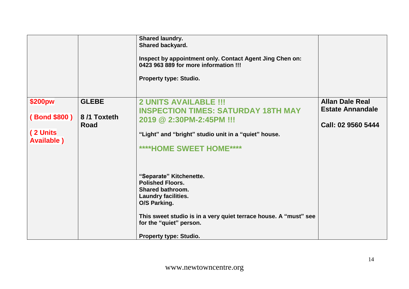|                                                           |                                     | <b>Shared laundry.</b><br><b>Shared backyard.</b><br>Inspect by appointment only. Contact Agent Jing Chen on:<br>0423 963 889 for more information !!!<br><b>Property type: Studio.</b>                                                                                                                                  |                                                                         |
|-----------------------------------------------------------|-------------------------------------|--------------------------------------------------------------------------------------------------------------------------------------------------------------------------------------------------------------------------------------------------------------------------------------------------------------------------|-------------------------------------------------------------------------|
| \$200pw<br>(Bond \$800)<br>(2 Units<br><b>Available</b> ) | <b>GLEBE</b><br>8/1 Toxteth<br>Road | <b>2 UNITS AVAILABLE !!!</b><br><b>INSPECTION TIMES: SATURDAY 18TH MAY</b><br>2019 @ 2:30PM-2:45PM !!!<br>"Light" and "bright" studio unit in a "quiet" house.<br>****HOME SWEET HOME****<br>"Separate" Kitchenette.<br><b>Polished Floors.</b><br><b>Shared bathroom.</b><br><b>Laundry facilities.</b><br>O/S Parking. | <b>Allan Dale Real</b><br><b>Estate Annandale</b><br>Call: 02 9560 5444 |
|                                                           |                                     | This sweet studio is in a very quiet terrace house. A "must" see<br>for the "quiet" person.<br><b>Property type: Studio.</b>                                                                                                                                                                                             |                                                                         |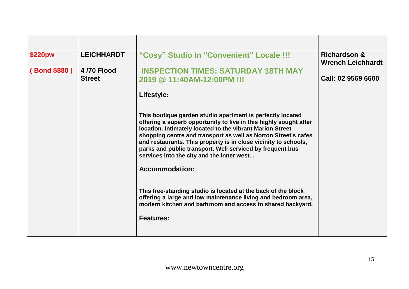| \$220pw            | <b>LEICHHARDT</b>           | "Cosy" Studio In "Convenient" Locale !!!                                                                                                                                                                                                                                                                                                                                                                                                                             | <b>Richardson &amp;</b><br><b>Wrench Leichhardt</b> |
|--------------------|-----------------------------|----------------------------------------------------------------------------------------------------------------------------------------------------------------------------------------------------------------------------------------------------------------------------------------------------------------------------------------------------------------------------------------------------------------------------------------------------------------------|-----------------------------------------------------|
| <b>Bond \$880)</b> | 4/70 Flood<br><b>Street</b> | <b>INSPECTION TIMES: SATURDAY 18TH MAY</b><br>2019 @ 11:40AM-12:00PM !!!                                                                                                                                                                                                                                                                                                                                                                                             | Call: 02 9569 6600                                  |
|                    |                             | Lifestyle:                                                                                                                                                                                                                                                                                                                                                                                                                                                           |                                                     |
|                    |                             | This boutique garden studio apartment is perfectly located<br>offering a superb opportunity to live in this highly sought after<br>location. Intimately located to the vibrant Marion Street<br>shopping centre and transport as well as Norton Street's cafes<br>and restaurants. This property is in close vicinity to schools,<br>parks and public transport. Well serviced by frequent bus<br>services into the city and the inner west<br><b>Accommodation:</b> |                                                     |
|                    |                             | This free-standing studio is located at the back of the block<br>offering a large and low maintenance living and bedroom area,<br>modern kitchen and bathroom and access to shared backyard.<br><b>Features:</b>                                                                                                                                                                                                                                                     |                                                     |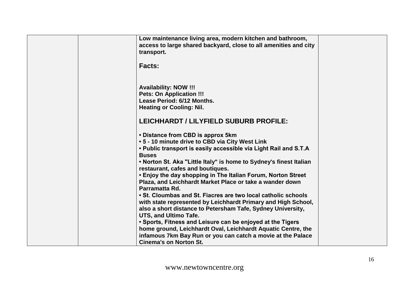| Low maintenance living area, modern kitchen and bathroom,          |  |
|--------------------------------------------------------------------|--|
| access to large shared backyard, close to all amenities and city   |  |
| transport.                                                         |  |
|                                                                    |  |
| <b>Facts:</b>                                                      |  |
|                                                                    |  |
|                                                                    |  |
|                                                                    |  |
| <b>Availability: NOW !!!</b>                                       |  |
| <b>Pets: On Application !!!</b>                                    |  |
| Lease Period: 6/12 Months.                                         |  |
| <b>Heating or Cooling: Nil.</b>                                    |  |
|                                                                    |  |
| LEICHHARDT / LILYFIELD SUBURB PROFILE:                             |  |
|                                                                    |  |
|                                                                    |  |
| • Distance from CBD is approx 5km                                  |  |
| .5 - 10 minute drive to CBD via City West Link                     |  |
| . Public transport is easily accessible via Light Rail and S.T.A   |  |
| <b>Buses</b>                                                       |  |
| . Norton St. Aka "Little Italy" is home to Sydney's finest Italian |  |
| restaurant, cafes and boutiques.                                   |  |
| . Enjoy the day shopping in The Italian Forum, Norton Street       |  |
| Plaza, and Leichhardt Market Place or take a wander down           |  |
| Parramatta Rd.                                                     |  |
| • St. Cloumbas and St. Fiacres are two local catholic schools      |  |
| with state represented by Leichhardt Primary and High School,      |  |
|                                                                    |  |
| also a short distance to Petersham Tafe, Sydney University,        |  |
| <b>UTS, and Ultimo Tafe.</b>                                       |  |
| . Sports, Fitness and Leisure can be enjoyed at the Tigers         |  |
| home ground, Leichhardt Oval, Leichhardt Aquatic Centre, the       |  |
| infamous 7km Bay Run or you can catch a movie at the Palace        |  |
| <b>Cinema's on Norton St.</b>                                      |  |
|                                                                    |  |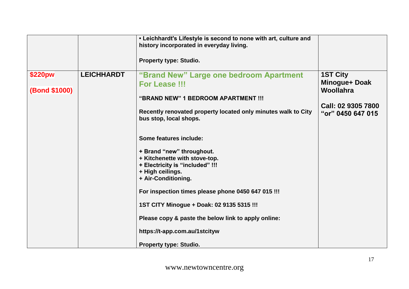|                                 |                   | • Leichhardt's Lifestyle is second to none with art, culture and<br>history incorporated in everyday living.                                                     |                                                                                                 |
|---------------------------------|-------------------|------------------------------------------------------------------------------------------------------------------------------------------------------------------|-------------------------------------------------------------------------------------------------|
|                                 |                   | <b>Property type: Studio.</b>                                                                                                                                    |                                                                                                 |
| \$220pw<br><b>(Bond \$1000)</b> | <b>LEICHHARDT</b> | "Brand New" Large one bedroom Apartment<br>For Lease !!!<br>"BRAND NEW" 1 BEDROOM APARTMENT !!!<br>Recently renovated property located only minutes walk to City | <b>1ST City</b><br>Minogue+ Doak<br><b>Woollahra</b><br>Call: 02 9305 7800<br>"or" 0450 647 015 |
|                                 |                   | bus stop, local shops.<br>Some features include:                                                                                                                 |                                                                                                 |
|                                 |                   | + Brand "new" throughout.<br>+ Kitchenette with stove-top.<br>+ Electricity is "included" !!!<br>+ High ceilings.<br>+ Air-Conditioning.                         |                                                                                                 |
|                                 |                   | For inspection times please phone 0450 647 015 !!!<br>1ST CITY Minogue + Doak: 02 9135 5315 !!!                                                                  |                                                                                                 |
|                                 |                   | Please copy & paste the below link to apply online:                                                                                                              |                                                                                                 |
|                                 |                   | https://t-app.com.au/1stcityw<br><b>Property type: Studio.</b>                                                                                                   |                                                                                                 |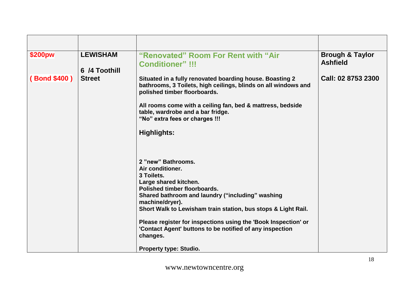| \$200pw            | <b>LEWISHAM</b><br>6 /4 Toothill | "Renovated" Room For Rent with "Air<br><b>Conditioner" !!!</b>                                                                                                                                                                                                                                                                                                                                                                                                                                                                                                                                                                                                                                                           | <b>Brough &amp; Taylor</b><br><b>Ashfield</b> |
|--------------------|----------------------------------|--------------------------------------------------------------------------------------------------------------------------------------------------------------------------------------------------------------------------------------------------------------------------------------------------------------------------------------------------------------------------------------------------------------------------------------------------------------------------------------------------------------------------------------------------------------------------------------------------------------------------------------------------------------------------------------------------------------------------|-----------------------------------------------|
| <b>Bond \$400)</b> | <b>Street</b>                    | Situated in a fully renovated boarding house. Boasting 2<br>bathrooms, 3 Toilets, high ceilings, blinds on all windows and<br>polished timber floorboards.<br>All rooms come with a ceiling fan, bed & mattress, bedside<br>table, wardrobe and a bar fridge.<br>"No" extra fees or charges !!!<br><b>Highlights:</b><br>2 "new" Bathrooms.<br>Air conditioner.<br>3 Toilets.<br>Large shared kitchen.<br>Polished timber floorboards.<br>Shared bathroom and laundry ("including" washing<br>machine/dryer).<br>Short Walk to Lewisham train station, bus stops & Light Rail.<br>Please register for inspections using the 'Book Inspection' or<br>'Contact Agent' buttons to be notified of any inspection<br>changes. | Call: 02 8753 2300                            |
|                    |                                  | <b>Property type: Studio.</b>                                                                                                                                                                                                                                                                                                                                                                                                                                                                                                                                                                                                                                                                                            |                                               |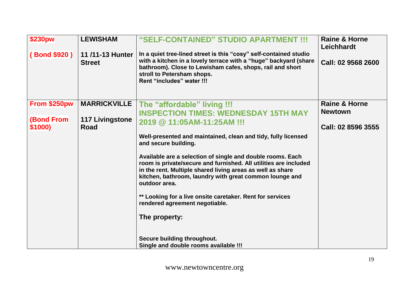| <b>\$230pw</b>    | <b>LEWISHAM</b>                  | "SELF-CONTAINED" STUDIO APARTMENT !!!                                                                                                                                                                                                                                    | <b>Raine &amp; Horne</b><br><b>Leichhardt</b> |
|-------------------|----------------------------------|--------------------------------------------------------------------------------------------------------------------------------------------------------------------------------------------------------------------------------------------------------------------------|-----------------------------------------------|
| (Bond \$920)      | 11/11-13 Hunter<br><b>Street</b> | In a quiet tree-lined street is this "cosy" self-contained studio<br>with a kitchen in a lovely terrace with a "huge" backyard (share<br>bathroom). Close to Lewisham cafes, shops, rail and short<br>stroll to Petersham shops.<br>Rent "includes" water !!!            | Call: 02 9568 2600                            |
| From \$250pw      | <b>MARRICKVILLE</b>              | The "affordable" living !!!                                                                                                                                                                                                                                              | <b>Raine &amp; Horne</b>                      |
| <b>(Bond From</b> | <b>117 Livingstone</b>           | <b>INSPECTION TIMES: WEDNESDAY 15TH MAY</b><br>2019 @ 11:05AM-11:25AM !!!                                                                                                                                                                                                | <b>Newtown</b>                                |
| \$1000)           | Road                             |                                                                                                                                                                                                                                                                          | Call: 02 8596 3555                            |
|                   |                                  | Well-presented and maintained, clean and tidy, fully licensed<br>and secure building.                                                                                                                                                                                    |                                               |
|                   |                                  | Available are a selection of single and double rooms. Each<br>room is private/secure and furnished. All utilities are included<br>in the rent. Multiple shared living areas as well as share<br>kitchen, bathroom, laundry with great common lounge and<br>outdoor area. |                                               |
|                   |                                  | ** Looking for a live onsite caretaker. Rent for services<br>rendered agreement negotiable.                                                                                                                                                                              |                                               |
|                   |                                  | The property:                                                                                                                                                                                                                                                            |                                               |
|                   |                                  | Secure building throughout.                                                                                                                                                                                                                                              |                                               |
|                   |                                  | Single and double rooms available !!!                                                                                                                                                                                                                                    |                                               |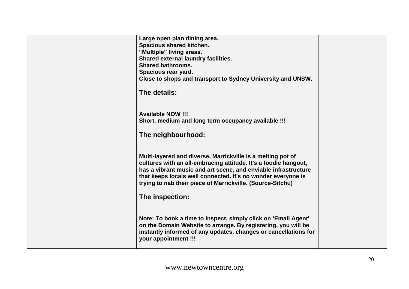|  | Large open plan dining area.<br><b>Spacious shared kitchen.</b><br>"Multiple" living areas.<br><b>Shared external laundry facilities.</b><br><b>Shared bathrooms.</b><br>Spacious rear yard.<br>Close to shops and transport to Sydney University and UNSW.<br>The details:                                                                       |  |
|--|---------------------------------------------------------------------------------------------------------------------------------------------------------------------------------------------------------------------------------------------------------------------------------------------------------------------------------------------------|--|
|  | <b>Available NOW !!!</b><br>Short, medium and long term occupancy available !!!<br>The neighbourhood:                                                                                                                                                                                                                                             |  |
|  | Multi-layered and diverse, Marrickville is a melting pot of<br>cultures with an all-embracing attitude. It's a foodie hangout,<br>has a vibrant music and art scene, and enviable infrastructure<br>that keeps locals well connected. It's no wonder everyone is<br>trying to nab their piece of Marrickville. (Source-Sitchu)<br>The inspection: |  |
|  | Note: To book a time to inspect, simply click on 'Email Agent'<br>on the Domain Website to arrange. By registering, you will be<br>instantly informed of any updates, changes or cancellations for<br>your appointment !!!                                                                                                                        |  |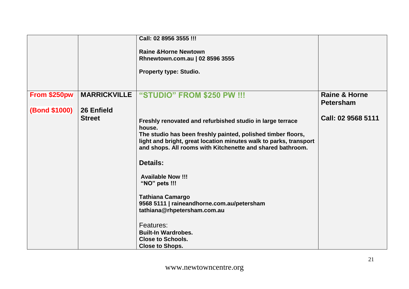|                      |                     | Call: 02 8956 3555 !!!                                                                               |                          |
|----------------------|---------------------|------------------------------------------------------------------------------------------------------|--------------------------|
|                      |                     | <b>Raine &amp; Horne Newtown</b><br>Rhnewtown.com.au   02 8596 3555<br><b>Property type: Studio.</b> |                          |
| From \$250pw         | <b>MARRICKVILLE</b> | "STUDIO" FROM \$250 PW !!!                                                                           | <b>Raine &amp; Horne</b> |
|                      |                     |                                                                                                      | <b>Petersham</b>         |
| <b>(Bond \$1000)</b> | 26 Enfield          |                                                                                                      |                          |
|                      | <b>Street</b>       | Freshly renovated and refurbished studio in large terrace                                            | Call: 02 9568 5111       |
|                      |                     | house.<br>The studio has been freshly painted, polished timber floors,                               |                          |
|                      |                     | light and bright, great location minutes walk to parks, transport                                    |                          |
|                      |                     | and shops. All rooms with Kitchenette and shared bathroom.                                           |                          |
|                      |                     | <b>Details:</b>                                                                                      |                          |
|                      |                     | <b>Available Now !!!</b>                                                                             |                          |
|                      |                     | "NO" pets !!!                                                                                        |                          |
|                      |                     | <b>Tathiana Camargo</b>                                                                              |                          |
|                      |                     | 9568 5111   raineandhorne.com.au/petersham<br>tathiana@rhpetersham.com.au                            |                          |
|                      |                     |                                                                                                      |                          |
|                      |                     | Features:                                                                                            |                          |
|                      |                     | <b>Built-In Wardrobes.</b><br><b>Close to Schools.</b>                                               |                          |
|                      |                     | <b>Close to Shops.</b>                                                                               |                          |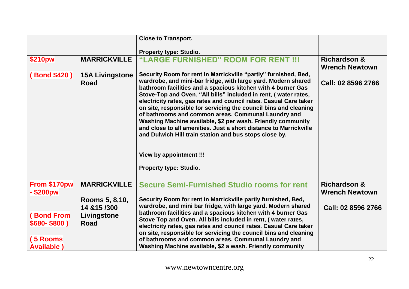|                                                                    |                                                                | <b>Close to Transport.</b>                                                                                                                                                                                                                                                                                                                                                                                                                                                                                                                                                                                                                                                                                                           |                                                  |
|--------------------------------------------------------------------|----------------------------------------------------------------|--------------------------------------------------------------------------------------------------------------------------------------------------------------------------------------------------------------------------------------------------------------------------------------------------------------------------------------------------------------------------------------------------------------------------------------------------------------------------------------------------------------------------------------------------------------------------------------------------------------------------------------------------------------------------------------------------------------------------------------|--------------------------------------------------|
|                                                                    |                                                                | <b>Property type: Studio.</b>                                                                                                                                                                                                                                                                                                                                                                                                                                                                                                                                                                                                                                                                                                        |                                                  |
| \$210pw                                                            | <b>MARRICKVILLE</b>                                            | "LARGE FURNISHED" ROOM FOR RENT !!!                                                                                                                                                                                                                                                                                                                                                                                                                                                                                                                                                                                                                                                                                                  | <b>Richardson &amp;</b><br><b>Wrench Newtown</b> |
| (Bond \$420)                                                       | <b>15A Livingstone</b><br><b>Road</b>                          | Security Room for rent in Marrickville "partly" furnished, Bed,<br>wardrobe, and mini-bar fridge, with large yard. Modern shared<br>bathroom facilities and a spacious kitchen with 4 burner Gas<br>Stove-Top and Oven. "All bills" included in rent, (water rates,<br>electricity rates, gas rates and council rates. Casual Care taker<br>on site, responsible for servicing the council bins and cleaning<br>of bathrooms and common areas. Communal Laundry and<br>Washing Machine available, \$2 per wash. Friendly community<br>and close to all amenities. Just a short distance to Marrickville<br>and Dulwich Hill train station and bus stops close by.<br><b>View by appointment !!!</b><br><b>Property type: Studio.</b> | Call: 02 8596 2766                               |
| From \$170pw<br>- \$200pw                                          | <b>MARRICKVILLE</b>                                            | <b>Secure Semi-Furnished Studio rooms for rent</b>                                                                                                                                                                                                                                                                                                                                                                                                                                                                                                                                                                                                                                                                                   | <b>Richardson &amp;</b><br><b>Wrench Newtown</b> |
| <b>(Bond From</b><br>$$680-$800$<br>(5 Rooms<br><b>Available</b> ) | Rooms 5, 8, 10,<br>14 & 15 / 300<br>Livingstone<br><b>Road</b> | Security Room for rent in Marrickville partly furnished, Bed,<br>wardrobe, and mini bar fridge, with large yard. Modern shared<br>bathroom facilities and a spacious kitchen with 4 burner Gas<br>Stove Top and Oven. All bills included in rent, (water rates,<br>electricity rates, gas rates and council rates. Casual Care taker<br>on site, responsible for servicing the council bins and cleaning<br>of bathrooms and common areas. Communal Laundry and<br>Washing Machine available, \$2 a wash. Friendly community                                                                                                                                                                                                         | Call: 02 8596 2766                               |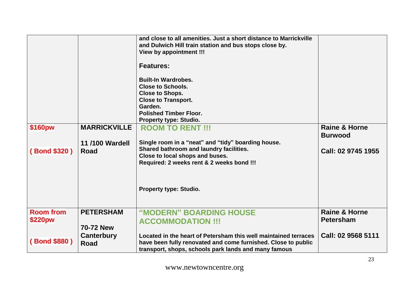| \$160pw<br>(Bond \$320) | <b>MARRICKVILLE</b><br><b>11/100 Wardell</b><br><b>Road</b> | and close to all amenities. Just a short distance to Marrickville<br>and Dulwich Hill train station and bus stops close by.<br><b>View by appointment !!!</b><br><b>Features:</b><br><b>Built-In Wardrobes.</b><br><b>Close to Schools.</b><br><b>Close to Shops.</b><br><b>Close to Transport.</b><br>Garden.<br><b>Polished Timber Floor.</b><br><b>Property type: Studio.</b><br><b>ROOM TO RENT !!!</b><br>Single room in a "neat" and "tidy" boarding house.<br>Shared bathroom and laundry facilities.<br>Close to local shops and buses.<br>Required: 2 weeks rent & 2 weeks bond !!! | <b>Raine &amp; Horne</b><br><b>Burwood</b><br>Call: 02 9745 1955 |
|-------------------------|-------------------------------------------------------------|----------------------------------------------------------------------------------------------------------------------------------------------------------------------------------------------------------------------------------------------------------------------------------------------------------------------------------------------------------------------------------------------------------------------------------------------------------------------------------------------------------------------------------------------------------------------------------------------|------------------------------------------------------------------|
|                         |                                                             | <b>Property type: Studio.</b>                                                                                                                                                                                                                                                                                                                                                                                                                                                                                                                                                                |                                                                  |
| <b>Room from</b>        | <b>PETERSHAM</b>                                            | "MODERN" BOARDING HOUSE                                                                                                                                                                                                                                                                                                                                                                                                                                                                                                                                                                      | <b>Raine &amp; Horne</b>                                         |
| \$220pw                 |                                                             | <b>ACCOMMODATION !!!</b>                                                                                                                                                                                                                                                                                                                                                                                                                                                                                                                                                                     | <b>Petersham</b>                                                 |
|                         | <b>70-72 New</b>                                            |                                                                                                                                                                                                                                                                                                                                                                                                                                                                                                                                                                                              |                                                                  |
| (Bond \$880)            | <b>Canterbury</b><br><b>Road</b>                            | Located in the heart of Petersham this well maintained terraces<br>have been fully renovated and come furnished. Close to public<br>transport, shops, schools park lands and many famous                                                                                                                                                                                                                                                                                                                                                                                                     | Call: 02 9568 5111                                               |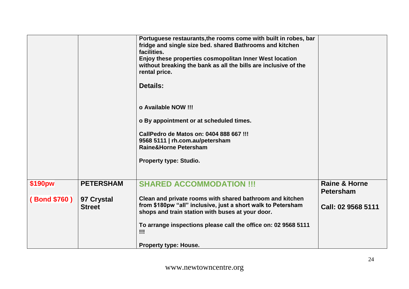|              |                  | Portuguese restaurants, the rooms come with built in robes, bar<br>fridge and single size bed. shared Bathrooms and kitchen<br>facilities. |                          |
|--------------|------------------|--------------------------------------------------------------------------------------------------------------------------------------------|--------------------------|
|              |                  | Enjoy these properties cosmopolitan Inner West location                                                                                    |                          |
|              |                  | without breaking the bank as all the bills are inclusive of the                                                                            |                          |
|              |                  | rental price.                                                                                                                              |                          |
|              |                  |                                                                                                                                            |                          |
|              |                  | <b>Details:</b>                                                                                                                            |                          |
|              |                  |                                                                                                                                            |                          |
|              |                  | o Available NOW !!!                                                                                                                        |                          |
|              |                  |                                                                                                                                            |                          |
|              |                  | o By appointment or at scheduled times.                                                                                                    |                          |
|              |                  |                                                                                                                                            |                          |
|              |                  | CallPedro de Matos on: 0404 888 667 !!!                                                                                                    |                          |
|              |                  | 9568 5111   rh.com.au/petersham                                                                                                            |                          |
|              |                  | Raine&Horne Petersham                                                                                                                      |                          |
|              |                  |                                                                                                                                            |                          |
|              |                  | <b>Property type: Studio.</b>                                                                                                              |                          |
|              |                  |                                                                                                                                            |                          |
|              |                  |                                                                                                                                            |                          |
| \$190pw      | <b>PETERSHAM</b> | <b>SHARED ACCOMMODATION !!!</b>                                                                                                            | <b>Raine &amp; Horne</b> |
|              |                  |                                                                                                                                            | <b>Petersham</b>         |
| (Bond \$760) | 97 Crystal       | Clean and private rooms with shared bathroom and kitchen                                                                                   |                          |
|              | <b>Street</b>    | from \$180pw "all" inclusive, just a short walk to Petersham                                                                               | Call: 02 9568 5111       |
|              |                  | shops and train station with buses at your door.                                                                                           |                          |
|              |                  |                                                                                                                                            |                          |
|              |                  | To arrange inspections please call the office on: 02 9568 5111                                                                             |                          |
|              |                  | !!!                                                                                                                                        |                          |
|              |                  | <b>Property type: House.</b>                                                                                                               |                          |
|              |                  |                                                                                                                                            |                          |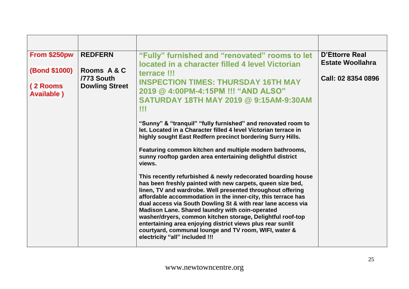| From \$250pw                    | <b>REDFERN</b>            | "Fully" furnished and "renovated" rooms to let<br>located in a character filled 4 level Victorian                                                                                                                                                                                                                                                                                                                                                                                                                                                                                                  | <b>D'Ettorre Real</b><br><b>Estate Woollahra</b> |
|---------------------------------|---------------------------|----------------------------------------------------------------------------------------------------------------------------------------------------------------------------------------------------------------------------------------------------------------------------------------------------------------------------------------------------------------------------------------------------------------------------------------------------------------------------------------------------------------------------------------------------------------------------------------------------|--------------------------------------------------|
| <b>(Bond \$1000)</b>            | Rooms A & C<br>/773 South | terrace !!!<br><b>INSPECTION TIMES: THURSDAY 16TH MAY</b>                                                                                                                                                                                                                                                                                                                                                                                                                                                                                                                                          | Call: 02 8354 0896                               |
| (2 Rooms)<br><b>Available</b> ) | <b>Dowling Street</b>     | 2019 @ 4:00PM-4:15PM !!! "AND ALSO"<br><b>SATURDAY 18TH MAY 2019 @ 9:15AM-9:30AM</b><br>w                                                                                                                                                                                                                                                                                                                                                                                                                                                                                                          |                                                  |
|                                 |                           | "Sunny" & "tranquil" "fully furnished" and renovated room to<br>let. Located in a Character filled 4 level Victorian terrace in<br>highly sought East Redfern precinct bordering Surry Hills.                                                                                                                                                                                                                                                                                                                                                                                                      |                                                  |
|                                 |                           | Featuring common kitchen and multiple modern bathrooms,<br>sunny rooftop garden area entertaining delightful district<br>views.                                                                                                                                                                                                                                                                                                                                                                                                                                                                    |                                                  |
|                                 |                           | This recently refurbished & newly redecorated boarding house<br>has been freshly painted with new carpets, queen size bed,<br>linen, TV and wardrobe. Well presented throughout offering<br>affordable accommodation in the inner-city, this terrace has<br>dual access via South Dowling St & with rear lane access via<br>Madison Lane. Shared laundry with coin-operated<br>washer/dryers, common kitchen storage, Delightful roof-top<br>entertaining area enjoying district views plus rear sunlit<br>courtyard, communal lounge and TV room, WIFI, water &<br>electricity "all" included !!! |                                                  |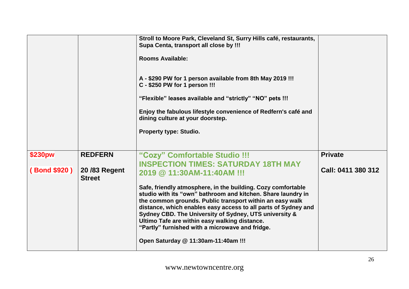|                         |                                                 | Stroll to Moore Park, Cleveland St, Surry Hills café, restaurants,<br>Supa Centa, transport all close by !!!<br><b>Rooms Available:</b><br>A - \$290 PW for 1 person available from 8th May 2019 !!!<br>C - \$250 PW for 1 person !!!<br>"Flexible" leases available and "strictly" "NO" pets !!!<br>Enjoy the fabulous lifestyle convenience of Redfern's café and<br>dining culture at your doorstep.<br><b>Property type: Studio.</b> |                                      |
|-------------------------|-------------------------------------------------|------------------------------------------------------------------------------------------------------------------------------------------------------------------------------------------------------------------------------------------------------------------------------------------------------------------------------------------------------------------------------------------------------------------------------------------|--------------------------------------|
| \$230pw<br>(Bond \$920) | <b>REDFERN</b><br>20/83 Regent<br><b>Street</b> | "Cozy" Comfortable Studio !!!<br><b>INSPECTION TIMES: SATURDAY 18TH MAY</b><br>2019 @ 11:30AM-11:40AM !!!<br>Safe, friendly atmosphere, in the building. Cozy comfortable                                                                                                                                                                                                                                                                | <b>Private</b><br>Call: 0411 380 312 |
|                         |                                                 | studio with its "own" bathroom and kitchen. Share laundry in<br>the common grounds. Public transport within an easy walk<br>distance, which enables easy access to all parts of Sydney and<br>Sydney CBD. The University of Sydney, UTS university &<br>Ultimo Tafe are within easy walking distance.<br>"Partly" furnished with a microwave and fridge.<br>Open Saturday @ 11:30am-11:40am !!!                                          |                                      |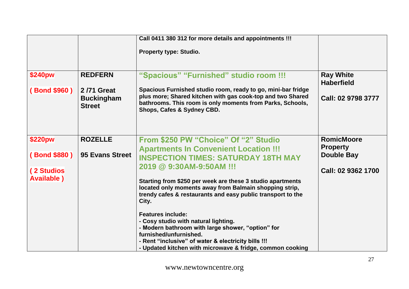|                                                                   |                                                                    | Call 0411 380 312 for more details and appointments !!!<br>Property type: Studio.                                                                                                                                                                                                                                                                                                                                                                                                                                                                                        |                                                                                 |
|-------------------------------------------------------------------|--------------------------------------------------------------------|--------------------------------------------------------------------------------------------------------------------------------------------------------------------------------------------------------------------------------------------------------------------------------------------------------------------------------------------------------------------------------------------------------------------------------------------------------------------------------------------------------------------------------------------------------------------------|---------------------------------------------------------------------------------|
| <b>\$240pw</b><br>(Bond \$960)                                    | <b>REDFERN</b><br>2/71 Great<br><b>Buckingham</b><br><b>Street</b> | "Spacious" "Furnished" studio room !!!<br>Spacious Furnished studio room, ready to go, mini-bar fridge<br>plus more; Shared kitchen with gas cook-top and two Shared<br>bathrooms. This room is only moments from Parks, Schools,<br>Shops, Cafes & Sydney CBD.                                                                                                                                                                                                                                                                                                          | <b>Ray White</b><br><b>Haberfield</b><br>Call: 02 9798 3777                     |
| \$220pw<br><b>Bond \$880)</b><br>(2 Studios<br><b>Available</b> ) | <b>ROZELLE</b><br>95 Evans Street                                  | From \$250 PW "Choice" Of "2" Studio<br><b>Apartments In Convenient Location !!!</b><br><b>INSPECTION TIMES: SATURDAY 18TH MAY</b><br>2019 @ 9:30AM-9:50AM !!!<br>Starting from \$250 per week are these 3 studio apartments<br>located only moments away from Balmain shopping strip,<br>trendy cafes & restaurants and easy public transport to the<br>City.<br><b>Features include:</b><br>- Cosy studio with natural lighting.<br>- Modern bathroom with large shower, "option" for<br>furnished/unfurnished.<br>- Rent "inclusive" of water & electricity bills !!! | <b>RomicMoore</b><br><b>Property</b><br><b>Double Bay</b><br>Call: 02 9362 1700 |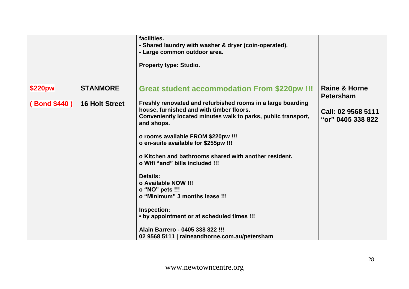|              |                       | facilities.<br>- Shared laundry with washer & dryer (coin-operated).<br>- Large common outdoor area.<br><b>Property type: Studio.</b>                                                  |                                              |
|--------------|-----------------------|----------------------------------------------------------------------------------------------------------------------------------------------------------------------------------------|----------------------------------------------|
| \$220pw      | <b>STANMORE</b>       | <b>Great student accommodation From \$220pw !!!</b>                                                                                                                                    | <b>Raine &amp; Horne</b><br><b>Petersham</b> |
| (Bond \$440) | <b>16 Holt Street</b> | Freshly renovated and refurbished rooms in a large boarding<br>house, furnished and with timber floors.<br>Conveniently located minutes walk to parks, public transport,<br>and shops. | Call: 02 9568 5111<br>"or" 0405 338 822      |
|              |                       | o rooms available FROM \$220pw !!!<br>o en-suite available for \$255pw !!!                                                                                                             |                                              |
|              |                       | o Kitchen and bathrooms shared with another resident.<br>o Wifi "and" bills included !!!                                                                                               |                                              |
|              |                       | <b>Details:</b><br>o Available NOW !!!<br>o "NO" pets !!!<br>o "Minimum" 3 months lease !!!                                                                                            |                                              |
|              |                       | Inspection:<br>• by appointment or at scheduled times !!!                                                                                                                              |                                              |
|              |                       | Alain Barrero - 0405 338 822 !!!<br>02 9568 5111   raineandhorne.com.au/petersham                                                                                                      |                                              |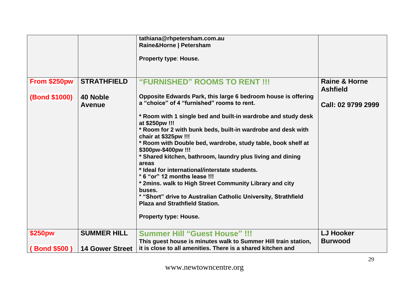|                      |                        | tathiana@rhpetersham.com.au                                                          |                                             |
|----------------------|------------------------|--------------------------------------------------------------------------------------|---------------------------------------------|
|                      |                        | Raine&Horne   Petersham                                                              |                                             |
|                      |                        |                                                                                      |                                             |
|                      |                        | Property type: House.                                                                |                                             |
|                      |                        |                                                                                      |                                             |
|                      |                        |                                                                                      |                                             |
| From \$250pw         | <b>STRATHFIELD</b>     | "FURNISHED" ROOMS TO RENT !!!                                                        | <b>Raine &amp; Horne</b><br><b>Ashfield</b> |
| <b>(Bond \$1000)</b> | 40 Noble               | Opposite Edwards Park, this large 6 bedroom house is offering                        |                                             |
|                      |                        | a "choice" of 4 "furnished" rooms to rent.                                           | Call: 02 9799 2999                          |
|                      | <b>Avenue</b>          |                                                                                      |                                             |
|                      |                        | * Room with 1 single bed and built-in wardrobe and study desk<br>at \$250pw !!!      |                                             |
|                      |                        | * Room for 2 with bunk beds, built-in wardrobe and desk with<br>chair at \$325pw !!! |                                             |
|                      |                        | * Room with Double bed, wardrobe, study table, book shelf at<br>\$300pw-\$400pw !!!  |                                             |
|                      |                        | * Shared kitchen, bathroom, laundry plus living and dining<br>areas                  |                                             |
|                      |                        | * Ideal for international/interstate students.                                       |                                             |
|                      |                        | * 6 "or" 12 months lease !!!                                                         |                                             |
|                      |                        | * 2mins. walk to High Street Community Library and city                              |                                             |
|                      |                        | buses.                                                                               |                                             |
|                      |                        | * "Short" drive to Australian Catholic University, Strathfield                       |                                             |
|                      |                        | <b>Plaza and Strathfield Station.</b>                                                |                                             |
|                      |                        |                                                                                      |                                             |
|                      |                        | <b>Property type: House.</b>                                                         |                                             |
|                      |                        |                                                                                      |                                             |
| \$250pw              | <b>SUMMER HILL</b>     | <b>Summer Hill "Guest House" !!!</b>                                                 | <b>LJ Hooker</b>                            |
|                      |                        | This guest house is minutes walk to Summer Hill train station,                       | <b>Burwood</b>                              |
| <b>Bond \$500)</b>   | <b>14 Gower Street</b> | it is close to all amenities. There is a shared kitchen and                          |                                             |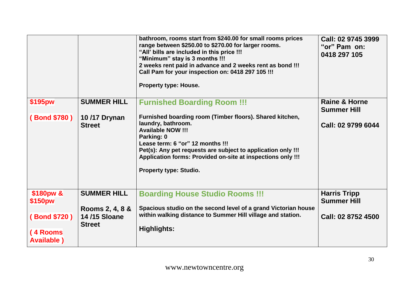|                                |                                                         | bathroom, rooms start from \$240.00 for small rooms prices<br>range between \$250.00 to \$270.00 for larger rooms.<br>"All' bills are included in this price !!!<br>"Minimum" stay is 3 months !!!<br>2 weeks rent paid in advance and 2 weeks rent as bond !!!<br>Call Pam for your inspection on: 0418 297 105 !!!<br>Property type: House. | Call: 02 9745 3999<br>"or" Pam on:<br>0418 297 105 |
|--------------------------------|---------------------------------------------------------|-----------------------------------------------------------------------------------------------------------------------------------------------------------------------------------------------------------------------------------------------------------------------------------------------------------------------------------------------|----------------------------------------------------|
| \$195pw                        | <b>SUMMER HILL</b>                                      | <b>Furnished Boarding Room !!!</b>                                                                                                                                                                                                                                                                                                            | <b>Raine &amp; Horne</b><br><b>Summer Hill</b>     |
| (Bond \$780)                   | 10/17 Drynan<br><b>Street</b>                           | Furnished boarding room (Timber floors). Shared kitchen,<br>laundry, bathroom.<br><b>Available NOW !!!</b><br>Parking: 0<br>Lease term: 6 "or" 12 months !!!<br>Pet(s): Any pet requests are subject to application only !!!<br>Application forms: Provided on-site at inspections only !!!<br><b>Property type: Studio.</b>                  | Call: 02 9799 6044                                 |
| \$180pw &<br>\$150pw           | <b>SUMMER HILL</b>                                      | <b>Boarding House Studio Rooms !!!</b>                                                                                                                                                                                                                                                                                                        | <b>Harris Tripp</b><br><b>Summer Hill</b>          |
| (Bond \$720)                   | Rooms 2, 4, 8 &<br><b>14/15 Sloane</b><br><b>Street</b> | Spacious studio on the second level of a grand Victorian house<br>within walking distance to Summer Hill village and station.                                                                                                                                                                                                                 | Call: 02 8752 4500                                 |
| (4 Rooms<br><b>Available</b> ) |                                                         | Highlights:                                                                                                                                                                                                                                                                                                                                   |                                                    |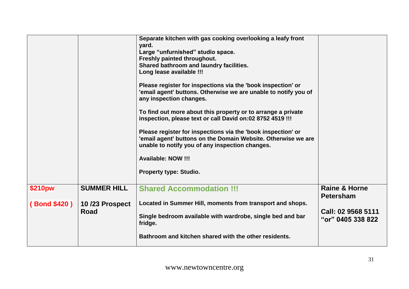|                               |                                              | Separate kitchen with gas cooking overlooking a leafy front<br>yard.<br>Large "unfurnished" studio space.<br>Freshly painted throughout.<br>Shared bathroom and laundry facilities.<br>Long lease available !!!<br>Please register for inspections via the 'book inspection' or<br>'email agent' buttons. Otherwise we are unable to notify you of<br>any inspection changes.<br>To find out more about this property or to arrange a private<br>inspection, please text or call David on:02 8752 4519 !!!<br>Please register for inspections via the 'book inspection' or<br>'email agent' buttons on the Domain Website. Otherwise we are<br>unable to notify you of any inspection changes.<br><b>Available: NOW !!!</b><br><b>Property type: Studio.</b> |                                                                                         |
|-------------------------------|----------------------------------------------|--------------------------------------------------------------------------------------------------------------------------------------------------------------------------------------------------------------------------------------------------------------------------------------------------------------------------------------------------------------------------------------------------------------------------------------------------------------------------------------------------------------------------------------------------------------------------------------------------------------------------------------------------------------------------------------------------------------------------------------------------------------|-----------------------------------------------------------------------------------------|
| \$210pw<br><b>Bond \$420)</b> | <b>SUMMER HILL</b><br>10/23 Prospect<br>Road | <b>Shared Accommodation !!!</b><br>Located in Summer Hill, moments from transport and shops.<br>Single bedroom available with wardrobe, single bed and bar<br>fridge.<br>Bathroom and kitchen shared with the other residents.                                                                                                                                                                                                                                                                                                                                                                                                                                                                                                                               | <b>Raine &amp; Horne</b><br><b>Petersham</b><br>Call: 02 9568 5111<br>"or" 0405 338 822 |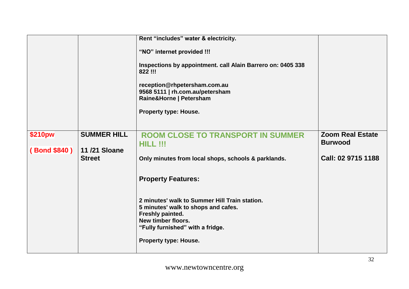|              |                               | Rent "includes" water & electricity.                                                                                                                                                                                        |                         |
|--------------|-------------------------------|-----------------------------------------------------------------------------------------------------------------------------------------------------------------------------------------------------------------------------|-------------------------|
|              |                               | "NO" internet provided !!!<br>Inspections by appointment. call Alain Barrero on: 0405 338<br>822 !!!<br>reception@rhpetersham.com.au<br>9568 5111   rh.com.au/petersham<br>Raine&Horne   Petersham<br>Property type: House. |                         |
| \$210pw      | <b>SUMMER HILL</b>            | <b>ROOM CLOSE TO TRANSPORT IN SUMMER</b>                                                                                                                                                                                    | <b>Zoom Real Estate</b> |
|              |                               | HILL !!!                                                                                                                                                                                                                    | <b>Burwood</b>          |
| (Bond \$840) | 11/21 Sloane<br><b>Street</b> | Only minutes from local shops, schools & parklands.                                                                                                                                                                         | Call: 02 9715 1188      |
|              |                               | <b>Property Features:</b>                                                                                                                                                                                                   |                         |
|              |                               | 2 minutes' walk to Summer Hill Train station.<br>5 minutes' walk to shops and cafes.<br>Freshly painted.<br>New timber floors.<br>"Fully furnished" with a fridge.<br><b>Property type: House.</b>                          |                         |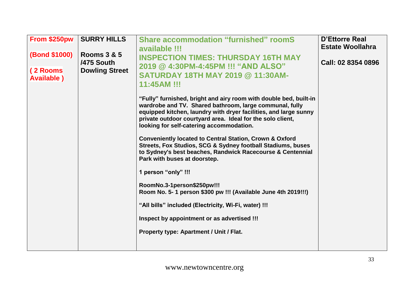| From \$250pw<br><b>(Bond \$1000)</b><br>(2 Rooms<br><b>Available</b> ) | <b>SURRY HILLS</b><br><b>Rooms 3 &amp; 5</b><br>/475 South<br><b>Dowling Street</b> | <b>Share accommodation "furnished" roomS</b><br>available !!!<br><b>INSPECTION TIMES: THURSDAY 16TH MAY</b><br>2019 @ 4:30PM-4:45PM !!! "AND ALSO"<br><b>SATURDAY 18TH MAY 2019 @ 11:30AM-</b><br>11:45AM !!!<br>"Fully" furnished, bright and airy room with double bed, built-in<br>wardrobe and TV. Shared bathroom, large communal, fully<br>equipped kitchen, laundry with dryer facilities, and large sunny<br>private outdoor courtyard area. Ideal for the solo client,<br>looking for self-catering accommodation.<br><b>Conveniently located to Central Station, Crown &amp; Oxford</b><br>Streets, Fox Studios, SCG & Sydney football Stadiums, buses<br>to Sydney's best beaches, Randwick Racecourse & Centennial<br>Park with buses at doorstep.<br>1 person "only" !!!<br>RoomNo.3-1person\$250pw!!!<br>Room No. 5- 1 person \$300 pw !!! (Available June 4th 2019!!!)<br>"All bills" included (Electricity, Wi-Fi, water) !!!<br>Inspect by appointment or as advertised !!!<br>Property type: Apartment / Unit / Flat. | <b>D'Ettorre Real</b><br><b>Estate Woollahra</b><br>Call: 02 8354 0896 |
|------------------------------------------------------------------------|-------------------------------------------------------------------------------------|-----------------------------------------------------------------------------------------------------------------------------------------------------------------------------------------------------------------------------------------------------------------------------------------------------------------------------------------------------------------------------------------------------------------------------------------------------------------------------------------------------------------------------------------------------------------------------------------------------------------------------------------------------------------------------------------------------------------------------------------------------------------------------------------------------------------------------------------------------------------------------------------------------------------------------------------------------------------------------------------------------------------------------------------|------------------------------------------------------------------------|
|------------------------------------------------------------------------|-------------------------------------------------------------------------------------|-----------------------------------------------------------------------------------------------------------------------------------------------------------------------------------------------------------------------------------------------------------------------------------------------------------------------------------------------------------------------------------------------------------------------------------------------------------------------------------------------------------------------------------------------------------------------------------------------------------------------------------------------------------------------------------------------------------------------------------------------------------------------------------------------------------------------------------------------------------------------------------------------------------------------------------------------------------------------------------------------------------------------------------------|------------------------------------------------------------------------|